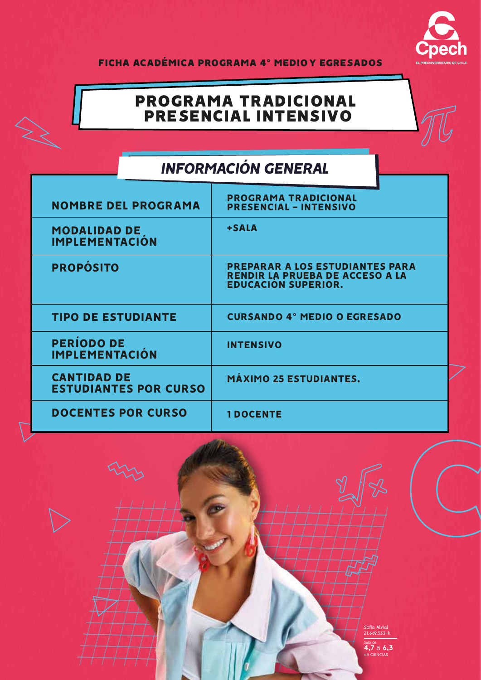

FICHA ACADÉMICA PROGRAMA 4° MEDIO Y EGRESADOS

## PROGRAMA TRADICIONAL PRESENCIAL INTENSIVO

# *INFORMACIÓN GENERAL*

| <b>NOMBRE DEL PROGRAMA</b>                         | <b>PROGRAMA TRADICIONAL</b><br><b>PRESENCIAL - INTENSIVO</b>                                            |  |
|----------------------------------------------------|---------------------------------------------------------------------------------------------------------|--|
| MODALIDAD DE<br><b>IMPLEMENTACIÓN</b>              | +SALA                                                                                                   |  |
| <b>PROPÓSITO</b>                                   | <b>PREPARAR A LOS ESTUDIANTES PARA</b><br>RENDIR LA PRUEBA DE ACCESO A LA<br><b>EDUCACIÓN SUPERIOR.</b> |  |
| <b>TIPO DE ESTUDIANTE</b>                          | <b>CURSANDO 4° MEDIO O EGRESADO</b>                                                                     |  |
| <b>PERÍODO DE</b><br><b>IMPLEMENTACIÓN</b>         | <b>INTENSIVO</b>                                                                                        |  |
| <b>CANTIDAD DE</b><br><b>ESTUDIANTES POR CURSO</b> | <b>MÁXIMO 25 ESTUDIANTES.</b>                                                                           |  |
| <b>DOCENTES POR CURSO</b>                          | <b>1DOCENTE</b>                                                                                         |  |

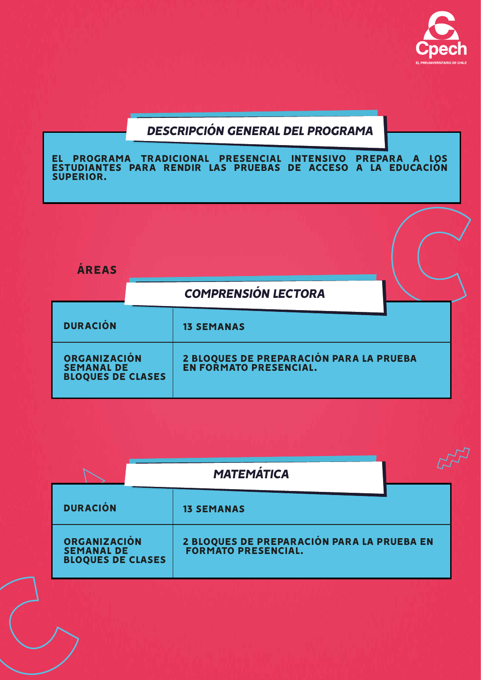

### *DESCRIPCIÓN GENERAL DEL PROGRAMA*

EL PROGRAMA TRADICIONAL PRESENCIAL INTENSIVO PREPARA A LOS ESTUDIANTES PARA RENDIR LAS PRUEBAS DE ACCESO A LA EDUCACIÓN SUPERIOR.



|                                                                      | <b>MATEMÁTICA</b> |                                                                          |
|----------------------------------------------------------------------|-------------------|--------------------------------------------------------------------------|
| <b>DURACIÓN</b>                                                      |                   | <b>13 SEMANAS</b>                                                        |
| <b>ORGANIZACIÓN</b><br><b>SEMANAL DE</b><br><b>BLOQUES DE CLASES</b> |                   | 2 BLOQUES DE PREPARACIÓN PARA LA PRUEBA EN<br><b>FORMATO PRESENCIAL.</b> |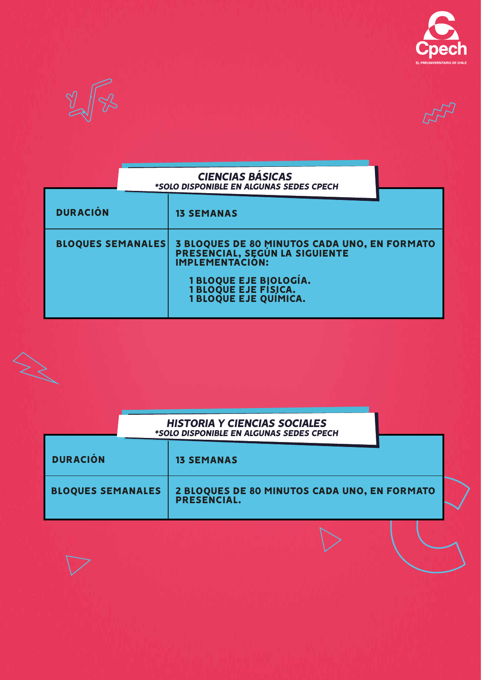



| <b>CIENCIAS BASICAS</b>                 |
|-----------------------------------------|
| *SOLO DISPONIBLE EN ALGUNAS SEDES CPECH |

| <b>DURACIÓN</b>          | <b>13 SEMANAS</b>                                                                                        |
|--------------------------|----------------------------------------------------------------------------------------------------------|
| <b>BLOQUES SEMANALES</b> | 3 BLOQUES DE 80 MINUTOS CADA UNO, EN FORMATO<br>PRESENCIAL, SEGÚN LA SIGUIENTE<br><b>IMPLEMENTACIÓN:</b> |
|                          | <b>1 BLOQUE EJE BIOLOGÍA.</b><br>1 BLOQUE EJE FÍSICA.<br>1 BLOQUE EJE QUÍMICA.                           |

#### *HISTORIA Y CIENCIAS SOCIALES \*SOLO DISPONIBLE EN ALGUNAS SEDES CPECH*

| <b>DURACIÓN</b>          | <b>13 SEMANAS</b>                                           |  |
|--------------------------|-------------------------------------------------------------|--|
| <b>BLOQUES SEMANALES</b> | 2 BLOQUES DE 80 MINUTOS CADA UNO, EN FORMATO<br>PRESENCIAL. |  |

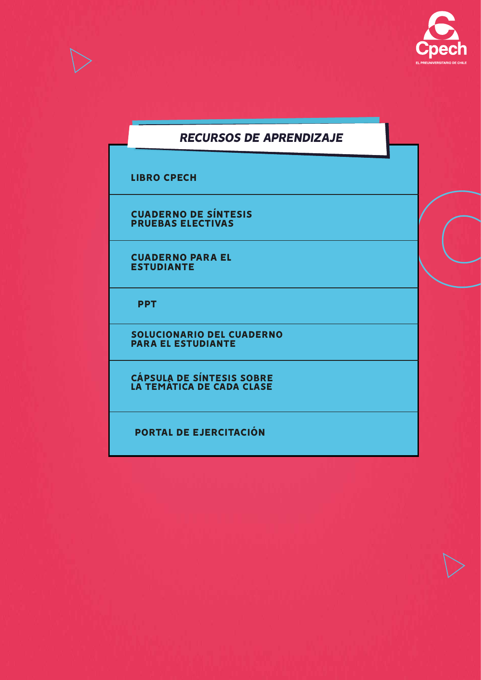

#### *RECURSOS DE APRENDIZAJE*

LIBRO CPECH

CUADERNO DE SÍNTESIS PRUEBAS ELECTIVAS

CUADERNO PARA EL ESTUDIANTE

PPT

**LÁMINA DE SOLUCIONARI<br>LÁMINA DE SOLUCIONARI EJE TEMÁTICO** *RECURSO DIGITAL PARA EL TRABAJO Y PARA EL TRABAJO Y PARA EL TRABAJO Y PARA EL TRABAJO Y PARA EL TRABAJO Y PAR* ESTUDIO AUTÓNOMO DE LA ESTUDIANTE EL ESTUDIANTE EL ESTUDIANTE EL ESTUDIANTE EL ESTUDIANTE EL ESTUDIANTE EL ES<br>Al território autónomo de la estudiante el estudiante el estudiante el estudiante el estudiante el estudiante **DISPONIBLES PARA CL Y CM.** SOLUCIONARIO DEL CUADERNO PARA EL ESTUDIANTE

> CÁPSULA DE SÍNTESIS SOBRE LA TEMATICA DE CADA CLASE

PORTAL DE EJERCITACIÓN